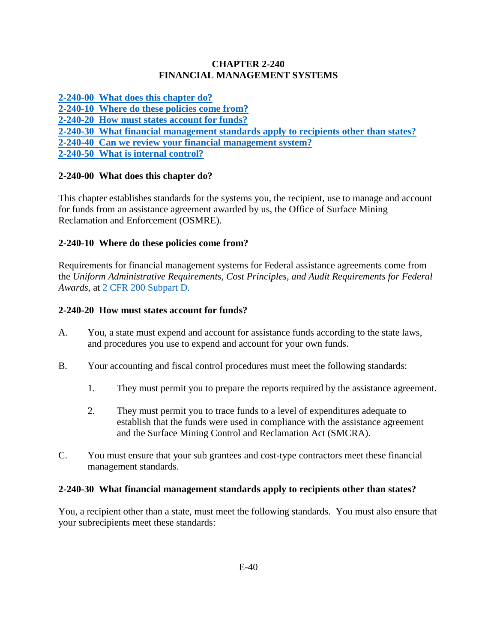### **CHAPTER 2-240 FINANCIAL MANAGEMENT SYSTEMS**

**[2-240-00 What does this chapter do?](#page-0-0)**

**[2-240-10 Where do these policies come from?](#page-0-1)**

**[2-240-20 How must states account for funds?](#page-0-2)** 

**[2-240-30 What financial management standards apply to recipients other than states?](#page-0-3)**

**[2-240-40 Can we review your financial management system?](#page-1-0)**

**[2-240-50 What is internal control?](#page-1-1)**

# <span id="page-0-0"></span>**2-240-00 What does this chapter do?**

This chapter establishes standards for the systems you, the recipient, use to manage and account for funds from an assistance agreement awarded by us, the Office of Surface Mining Reclamation and Enforcement (OSMRE).

# <span id="page-0-1"></span>**2-240-10 Where do these policies come from?**

Requirements for financial management systems for Federal assistance agreements come from the *Uniform Administrative Requirements, Cost Principles, and Audit Requirements for Federal Awards*, at [2 CFR 200](http://www.ecfr.gov/cgi-bin/text-idx?SID=f6ddafc06dfa494200fbc08fe01681ec&node=pt2.1.200&rgn=div5) Subpart D.

## <span id="page-0-2"></span>**2-240-20 How must states account for funds?**

- A. You, a state must expend and account for assistance funds according to the state laws, and procedures you use to expend and account for your own funds.
- B. Your accounting and fiscal control procedures must meet the following standards:
	- 1. They must permit you to prepare the reports required by the assistance agreement.
	- 2. They must permit you to trace funds to a level of expenditures adequate to establish that the funds were used in compliance with the assistance agreement and the Surface Mining Control and Reclamation Act (SMCRA).
- C. You must ensure that your sub grantees and cost-type contractors meet these financial management standards.

## <span id="page-0-3"></span>**2-240-30 What financial management standards apply to recipients other than states?**

You, a recipient other than a state, must meet the following standards. You must also ensure that your subrecipients meet these standards: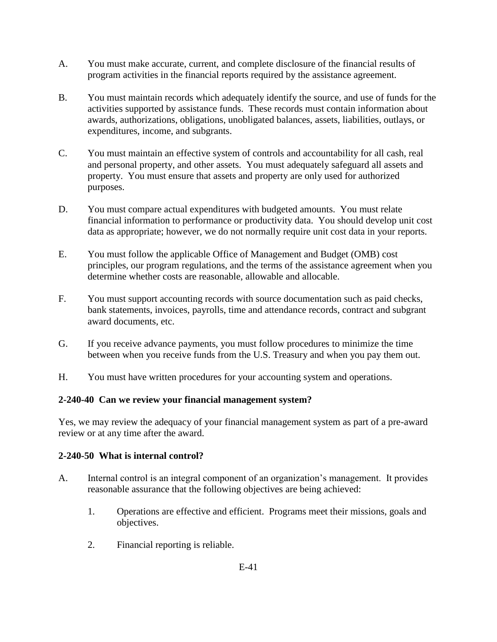- A. You must make accurate, current, and complete disclosure of the financial results of program activities in the financial reports required by the assistance agreement.
- B. You must maintain records which adequately identify the source, and use of funds for the activities supported by assistance funds. These records must contain information about awards, authorizations, obligations, unobligated balances, assets, liabilities, outlays, or expenditures, income, and subgrants.
- C. You must maintain an effective system of controls and accountability for all cash, real and personal property, and other assets. You must adequately safeguard all assets and property. You must ensure that assets and property are only used for authorized purposes.
- D. You must compare actual expenditures with budgeted amounts. You must relate financial information to performance or productivity data. You should develop unit cost data as appropriate; however, we do not normally require unit cost data in your reports.
- E. You must follow the applicable Office of Management and Budget (OMB) cost principles, our program regulations, and the terms of the assistance agreement when you determine whether costs are reasonable, allowable and allocable.
- F. You must support accounting records with source documentation such as paid checks, bank statements, invoices, payrolls, time and attendance records, contract and subgrant award documents, etc.
- G. If you receive advance payments, you must follow procedures to minimize the time between when you receive funds from the U.S. Treasury and when you pay them out.
- H. You must have written procedures for your accounting system and operations.

#### <span id="page-1-0"></span>**2-240-40 Can we review your financial management system?**

Yes, we may review the adequacy of your financial management system as part of a pre-award review or at any time after the award.

#### <span id="page-1-1"></span>**2-240-50 What is internal control?**

- A. Internal control is an integral component of an organization's management. It provides reasonable assurance that the following objectives are being achieved:
	- 1. Operations are effective and efficient. Programs meet their missions, goals and objectives.
	- 2. Financial reporting is reliable.